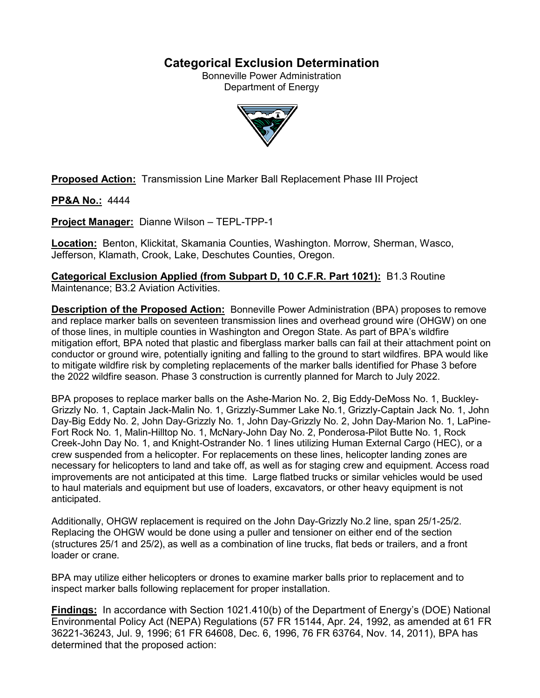## **Categorical Exclusion Determination**

Bonneville Power Administration Department of Energy



**Proposed Action:** Transmission Line Marker Ball Replacement Phase III Project

**PP&A No.:** 4444

**Project Manager:** Dianne Wilson – TEPL-TPP-1

**Location:** Benton, Klickitat, Skamania Counties, Washington. Morrow, Sherman, Wasco, Jefferson, Klamath, Crook, Lake, Deschutes Counties, Oregon.

**Categorical Exclusion Applied (from Subpart D, 10 C.F.R. Part 1021):** B1.3 Routine Maintenance; B3.2 Aviation Activities.

**Description of the Proposed Action:** Bonneville Power Administration (BPA) proposes to remove and replace marker balls on seventeen transmission lines and overhead ground wire (OHGW) on one of those lines, in multiple counties in Washington and Oregon State. As part of BPA's wildfire mitigation effort, BPA noted that plastic and fiberglass marker balls can fail at their attachment point on conductor or ground wire, potentially igniting and falling to the ground to start wildfires. BPA would like to mitigate wildfire risk by completing replacements of the marker balls identified for Phase 3 before the 2022 wildfire season. Phase 3 construction is currently planned for March to July 2022.

BPA proposes to replace marker balls on the Ashe-Marion No. 2, Big Eddy-DeMoss No. 1, Buckley-Grizzly No. 1, Captain Jack-Malin No. 1, Grizzly-Summer Lake No.1, Grizzly-Captain Jack No. 1, John Day-Big Eddy No. 2, John Day-Grizzly No. 1, John Day-Grizzly No. 2, John Day-Marion No. 1, LaPine-Fort Rock No. 1, Malin-Hilltop No. 1, McNary-John Day No. 2, Ponderosa-Pilot Butte No. 1, Rock Creek-John Day No. 1, and Knight-Ostrander No. 1 lines utilizing Human External Cargo (HEC), or a crew suspended from a helicopter. For replacements on these lines, helicopter landing zones are necessary for helicopters to land and take off, as well as for staging crew and equipment. Access road improvements are not anticipated at this time. Large flatbed trucks or similar vehicles would be used to haul materials and equipment but use of loaders, excavators, or other heavy equipment is not anticipated.

Additionally, OHGW replacement is required on the John Day-Grizzly No.2 line, span 25/1-25/2. Replacing the OHGW would be done using a puller and tensioner on either end of the section (structures 25/1 and 25/2), as well as a combination of line trucks, flat beds or trailers, and a front loader or crane.

BPA may utilize either helicopters or drones to examine marker balls prior to replacement and to inspect marker balls following replacement for proper installation.

**Findings:** In accordance with Section 1021.410(b) of the Department of Energy's (DOE) National Environmental Policy Act (NEPA) Regulations (57 FR 15144, Apr. 24, 1992, as amended at 61 FR 36221-36243, Jul. 9, 1996; 61 FR 64608, Dec. 6, 1996, 76 FR 63764, Nov. 14, 2011), BPA has determined that the proposed action: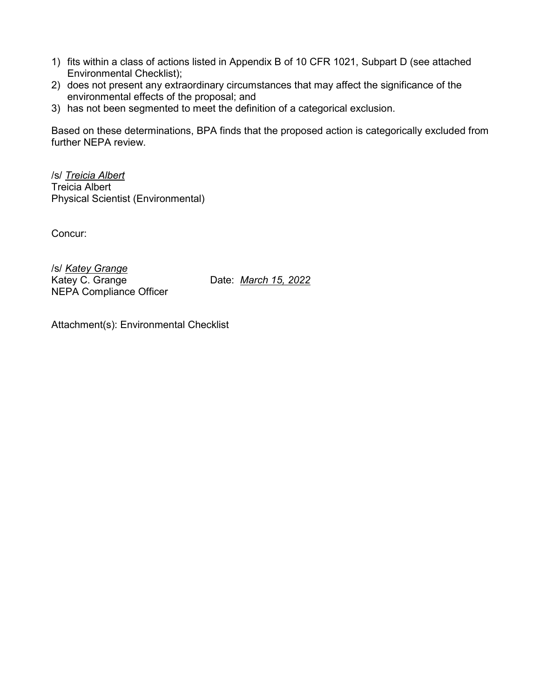- 1) fits within a class of actions listed in Appendix B of 10 CFR 1021, Subpart D (see attached Environmental Checklist);
- 2) does not present any extraordinary circumstances that may affect the significance of the environmental effects of the proposal; and
- 3) has not been segmented to meet the definition of a categorical exclusion.

Based on these determinations, BPA finds that the proposed action is categorically excluded from further NEPA review.

/s/ *Treicia Albert* Treicia Albert Physical Scientist (Environmental)

Concur:

/s/ *Katey Grange* Katey C. Grange Date: *March 15, 2022* NEPA Compliance Officer

Attachment(s): Environmental Checklist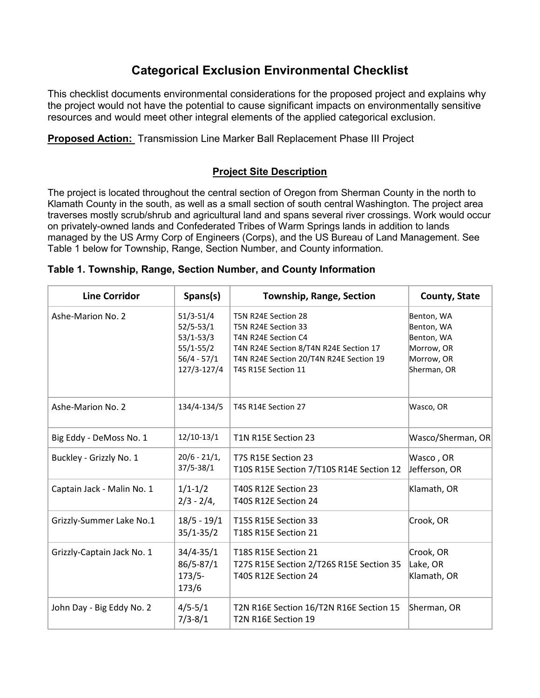# **Categorical Exclusion Environmental Checklist**

This checklist documents environmental considerations for the proposed project and explains why the project would not have the potential to cause significant impacts on environmentally sensitive resources and would meet other integral elements of the applied categorical exclusion.

**Proposed Action:** Transmission Line Marker Ball Replacement Phase III Project

## **Project Site Description**

The project is located throughout the central section of Oregon from Sherman County in the north to Klamath County in the south, as well as a small section of south central Washington. The project area traverses mostly scrub/shrub and agricultural land and spans several river crossings. Work would occur on privately-owned lands and Confederated Tribes of Warm Springs lands in addition to lands managed by the US Army Corp of Engineers (Corps), and the US Bureau of Land Management. See Table 1 below for Township, Range, Section Number, and County information.

## **Table 1. Township, Range, Section Number, and County Information**

| <b>Line Corridor</b>       | Spans(s)                                                                                         | <b>Township, Range, Section</b>                                                                                                                                               | <b>County, State</b>                                                              |
|----------------------------|--------------------------------------------------------------------------------------------------|-------------------------------------------------------------------------------------------------------------------------------------------------------------------------------|-----------------------------------------------------------------------------------|
| Ashe-Marion No. 2          | $51/3 - 51/4$<br>$52/5 - 53/1$<br>$53/1 - 53/3$<br>$55/1 - 55/2$<br>$56/4 - 57/1$<br>127/3-127/4 | T5N R24E Section 28<br>T5N R24E Section 33<br>T4N R24E Section C4<br>T4N R24E Section 8/T4N R24E Section 17<br>T4N R24E Section 20/T4N R24E Section 19<br>T4S R15E Section 11 | Benton, WA<br>Benton, WA<br>Benton, WA<br>Morrow, OR<br>Morrow, OR<br>Sherman, OR |
| Ashe-Marion No. 2          | 134/4-134/5                                                                                      | T4S R14E Section 27                                                                                                                                                           | Wasco, OR                                                                         |
| Big Eddy - DeMoss No. 1    | $12/10-13/1$                                                                                     | T1N R15E Section 23                                                                                                                                                           | Wasco/Sherman, OR                                                                 |
| Buckley - Grizzly No. 1    | $20/6 - 21/1,$<br>$37/5 - 38/1$                                                                  | T7S R15E Section 23<br>T10S R15E Section 7/T10S R14E Section 12                                                                                                               | Wasco, OR<br>Jefferson, OR                                                        |
| Captain Jack - Malin No. 1 | $1/1 - 1/2$<br>$2/3 - 2/4$                                                                       | T40S R12E Section 23<br>T40S R12E Section 24                                                                                                                                  | Klamath, OR                                                                       |
| Grizzly-Summer Lake No.1   | $18/5 - 19/1$<br>$35/1 - 35/2$                                                                   | T15S R15E Section 33<br>T18S R15E Section 21                                                                                                                                  | Crook, OR                                                                         |
| Grizzly-Captain Jack No. 1 | $34/4 - 35/1$<br>86/5-87/1<br>$173/5-$<br>173/6                                                  | T18S R15E Section 21<br>T27S R15E Section 2/T26S R15E Section 35<br>T40S R12E Section 24                                                                                      | Crook, OR<br>Lake, OR<br>Klamath, OR                                              |
| John Day - Big Eddy No. 2  | $4/5 - 5/1$<br>$7/3 - 8/1$                                                                       | T2N R16E Section 16/T2N R16E Section 15<br>T <sub>2</sub> N R <sub>16E</sub> Section 19                                                                                       | Sherman, OR                                                                       |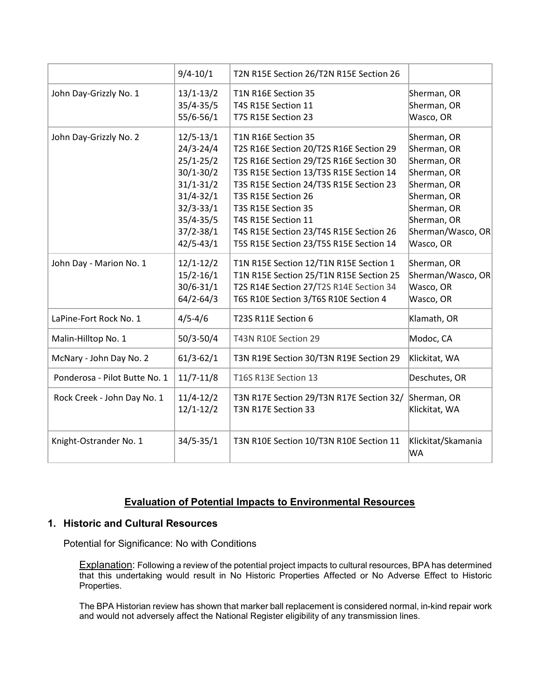|                               | $9/4 - 10/1$                   | T2N R15E Section 26/T2N R15E Section 26                         |                              |
|-------------------------------|--------------------------------|-----------------------------------------------------------------|------------------------------|
| John Day-Grizzly No. 1        | $13/1-13/2$                    | T1N R16E Section 35                                             | Sherman, OR                  |
|                               | $35/4 - 35/5$                  | T4S R15E Section 11                                             | Sherman, OR                  |
|                               | 55/6-56/1                      | T7S R15E Section 23                                             | Wasco, OR                    |
| John Day-Grizzly No. 2        | $12/5 - 13/1$                  | T1N R16E Section 35                                             | Sherman, OR                  |
|                               | $24/3 - 24/4$                  | T2S R16E Section 20/T2S R16E Section 29                         | Sherman, OR                  |
|                               | $25/1 - 25/2$                  | T2S R16E Section 29/T2S R16E Section 30                         | Sherman, OR                  |
|                               | $30/1 - 30/2$                  | T3S R15E Section 13/T3S R15E Section 14                         | Sherman, OR                  |
|                               | $31/1 - 31/2$                  | T3S R15E Section 24/T3S R15E Section 23                         | Sherman, OR                  |
|                               | $31/4 - 32/1$                  | T3S R15E Section 26                                             | Sherman, OR                  |
|                               | $32/3 - 33/1$                  | T3S R15E Section 35                                             | Sherman, OR                  |
|                               | $35/4 - 35/5$                  | T4S R15E Section 11                                             | Sherman, OR                  |
|                               | $37/2 - 38/1$                  | T4S R15E Section 23/T4S R15E Section 26                         | Sherman/Wasco, OR            |
|                               | $42/5 - 43/1$                  | T5S R15E Section 23/T5S R15E Section 14                         | Wasco, OR                    |
| John Day - Marion No. 1       | $12/1 - 12/2$                  | T1N R15E Section 12/T1N R15E Section 1                          | Sherman, OR                  |
|                               | $15/2 - 16/1$                  | T1N R15E Section 25/T1N R15E Section 25                         | Sherman/Wasco, OR            |
|                               | $30/6 - 31/1$                  | T2S R14E Section 27/T2S R14E Section 34                         | Wasco, OR                    |
|                               | $64/2 - 64/3$                  | T6S R10E Section 3/T6S R10E Section 4                           | Wasco, OR                    |
| LaPine-Fort Rock No. 1        | $4/5 - 4/6$                    | T23S R11E Section 6                                             | Klamath, OR                  |
| Malin-Hilltop No. 1           | $50/3 - 50/4$                  | T43N R10E Section 29                                            | Modoc, CA                    |
| McNary - John Day No. 2       | $61/3 - 62/1$                  | T3N R19E Section 30/T3N R19E Section 29                         | Klickitat, WA                |
| Ponderosa - Pilot Butte No. 1 | $11/7 - 11/8$                  | T16S R13E Section 13                                            | Deschutes, OR                |
| Rock Creek - John Day No. 1   | $11/4 - 12/2$<br>$12/1 - 12/2$ | T3N R17E Section 29/T3N R17E Section 32/<br>T3N R17E Section 33 | Sherman, OR<br>Klickitat, WA |
| Knight-Ostrander No. 1        | $34/5 - 35/1$                  | T3N R10E Section 10/T3N R10E Section 11                         | Klickitat/Skamania<br>WA     |

## **Evaluation of Potential Impacts to Environmental Resources**

## **1. Historic and Cultural Resources**

Potential for Significance: No with Conditions

Explanation: Following a review of the potential project impacts to cultural resources, BPA has determined that this undertaking would result in No Historic Properties Affected or No Adverse Effect to Historic Properties.

The BPA Historian review has shown that marker ball replacement is considered normal, in-kind repair work and would not adversely affect the National Register eligibility of any transmission lines.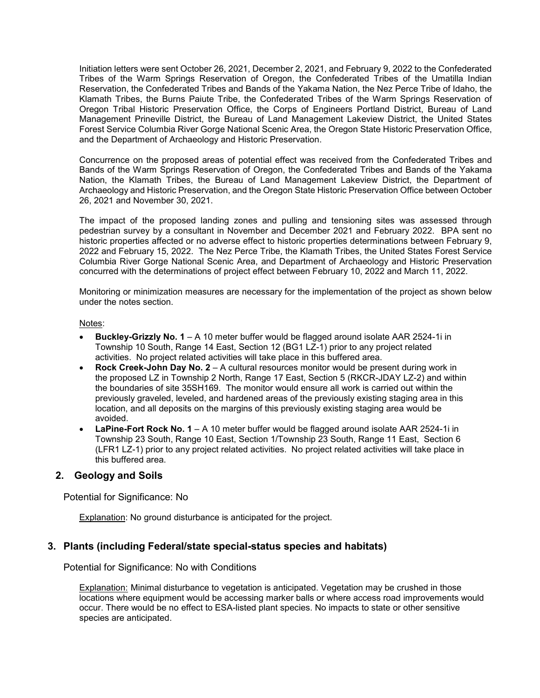Initiation letters were sent October 26, 2021, December 2, 2021, and February 9, 2022 to the Confederated Tribes of the Warm Springs Reservation of Oregon, the Confederated Tribes of the Umatilla Indian Reservation, the Confederated Tribes and Bands of the Yakama Nation, the Nez Perce Tribe of Idaho, the Klamath Tribes, the Burns Paiute Tribe, the Confederated Tribes of the Warm Springs Reservation of Oregon Tribal Historic Preservation Office, the Corps of Engineers Portland District, Bureau of Land Management Prineville District, the Bureau of Land Management Lakeview District, the United States Forest Service Columbia River Gorge National Scenic Area, the Oregon State Historic Preservation Office, and the Department of Archaeology and Historic Preservation.

Concurrence on the proposed areas of potential effect was received from the Confederated Tribes and Bands of the Warm Springs Reservation of Oregon, the Confederated Tribes and Bands of the Yakama Nation, the Klamath Tribes, the Bureau of Land Management Lakeview District, the Department of Archaeology and Historic Preservation, and the Oregon State Historic Preservation Office between October 26, 2021 and November 30, 2021.

The impact of the proposed landing zones and pulling and tensioning sites was assessed through pedestrian survey by a consultant in November and December 2021 and February 2022. BPA sent no historic properties affected or no adverse effect to historic properties determinations between February 9, 2022 and February 15, 2022. The Nez Perce Tribe, the Klamath Tribes, the United States Forest Service Columbia River Gorge National Scenic Area, and Department of Archaeology and Historic Preservation concurred with the determinations of project effect between February 10, 2022 and March 11, 2022.

Monitoring or minimization measures are necessary for the implementation of the project as shown below under the notes section.

Notes:

- **Buckley-Grizzly No. 1** A 10 meter buffer would be flagged around isolate AAR 2524-1i in Township 10 South, Range 14 East, Section 12 (BG1 LZ-1) prior to any project related activities. No project related activities will take place in this buffered area.
- **Rock Creek-John Day No. 2** A cultural resources monitor would be present during work in the proposed LZ in Township 2 North, Range 17 East, Section 5 (RKCR-JDAY LZ-2) and within the boundaries of site 35SH169. The monitor would ensure all work is carried out within the previously graveled, leveled, and hardened areas of the previously existing staging area in this location, and all deposits on the margins of this previously existing staging area would be avoided.
- **LaPine-Fort Rock No. 1** A 10 meter buffer would be flagged around isolate AAR 2524-1i in Township 23 South, Range 10 East, Section 1/Township 23 South, Range 11 East, Section 6 (LFR1 LZ-1) prior to any project related activities. No project related activities will take place in this buffered area.

## **2. Geology and Soils**

Potential for Significance: No

Explanation: No ground disturbance is anticipated for the project.

#### **3. Plants (including Federal/state special-status species and habitats)**

Potential for Significance: No with Conditions

Explanation: Minimal disturbance to vegetation is anticipated. Vegetation may be crushed in those locations where equipment would be accessing marker balls or where access road improvements would occur. There would be no effect to ESA-listed plant species. No impacts to state or other sensitive species are anticipated.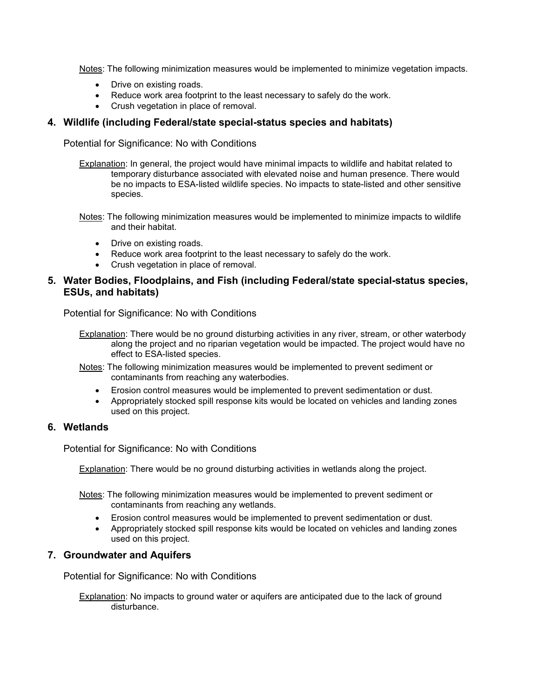Notes: The following minimization measures would be implemented to minimize vegetation impacts.

- Drive on existing roads.
- Reduce work area footprint to the least necessary to safely do the work.
- Crush vegetation in place of removal.

#### **4. Wildlife (including Federal/state special-status species and habitats)**

Potential for Significance: No with Conditions

- Explanation: In general, the project would have minimal impacts to wildlife and habitat related to temporary disturbance associated with elevated noise and human presence. There would be no impacts to ESA-listed wildlife species. No impacts to state-listed and other sensitive species.
- Notes: The following minimization measures would be implemented to minimize impacts to wildlife and their habitat.
	- Drive on existing roads.
	- Reduce work area footprint to the least necessary to safely do the work.
	- Crush vegetation in place of removal.

#### **5. Water Bodies, Floodplains, and Fish (including Federal/state special-status species, ESUs, and habitats)**

Potential for Significance: No with Conditions

- Explanation: There would be no ground disturbing activities in any river, stream, or other waterbody along the project and no riparian vegetation would be impacted. The project would have no effect to ESA-listed species.
- Notes: The following minimization measures would be implemented to prevent sediment or contaminants from reaching any waterbodies.
	- Erosion control measures would be implemented to prevent sedimentation or dust.
	- Appropriately stocked spill response kits would be located on vehicles and landing zones used on this project.

## **6. Wetlands**

Potential for Significance: No with Conditions

**Explanation:** There would be no ground disturbing activities in wetlands along the project.

- Notes: The following minimization measures would be implemented to prevent sediment or contaminants from reaching any wetlands.
	- Erosion control measures would be implemented to prevent sedimentation or dust.
	- Appropriately stocked spill response kits would be located on vehicles and landing zones used on this project.

#### **7. Groundwater and Aquifers**

Potential for Significance: No with Conditions

Explanation: No impacts to ground water or aquifers are anticipated due to the lack of ground disturbance.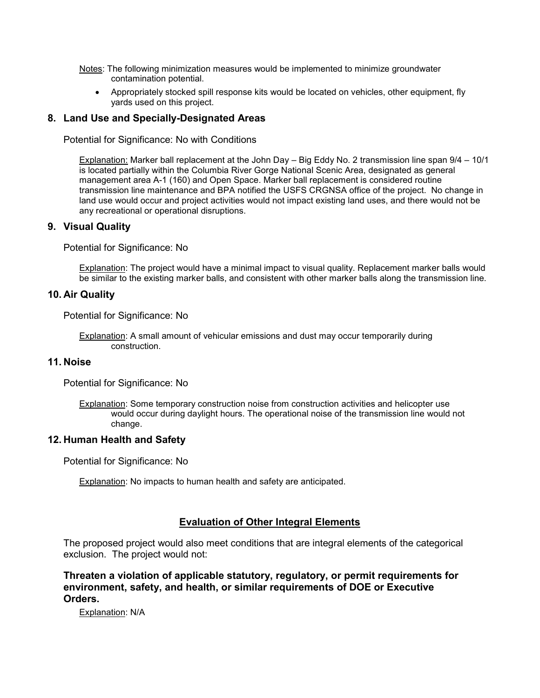- Notes: The following minimization measures would be implemented to minimize groundwater contamination potential.
	- Appropriately stocked spill response kits would be located on vehicles, other equipment, fly yards used on this project.

### **8. Land Use and Specially-Designated Areas**

Potential for Significance: No with Conditions

Explanation: Marker ball replacement at the John Day – Big Eddy No. 2 transmission line span 9/4 – 10/1 is located partially within the Columbia River Gorge National Scenic Area, designated as general management area A-1 (160) and Open Space. Marker ball replacement is considered routine transmission line maintenance and BPA notified the USFS CRGNSA office of the project. No change in land use would occur and project activities would not impact existing land uses, and there would not be any recreational or operational disruptions.

#### **9. Visual Quality**

Potential for Significance: No

Explanation: The project would have a minimal impact to visual quality. Replacement marker balls would be similar to the existing marker balls, and consistent with other marker balls along the transmission line.

#### **10. Air Quality**

Potential for Significance: No

Explanation: A small amount of vehicular emissions and dust may occur temporarily during construction.

#### **11. Noise**

Potential for Significance: No

Explanation: Some temporary construction noise from construction activities and helicopter use would occur during daylight hours. The operational noise of the transmission line would not change.

#### **12. Human Health and Safety**

Potential for Significance: No

Explanation: No impacts to human health and safety are anticipated.

## **Evaluation of Other Integral Elements**

The proposed project would also meet conditions that are integral elements of the categorical exclusion. The project would not:

**Threaten a violation of applicable statutory, regulatory, or permit requirements for environment, safety, and health, or similar requirements of DOE or Executive Orders.**

Explanation: N/A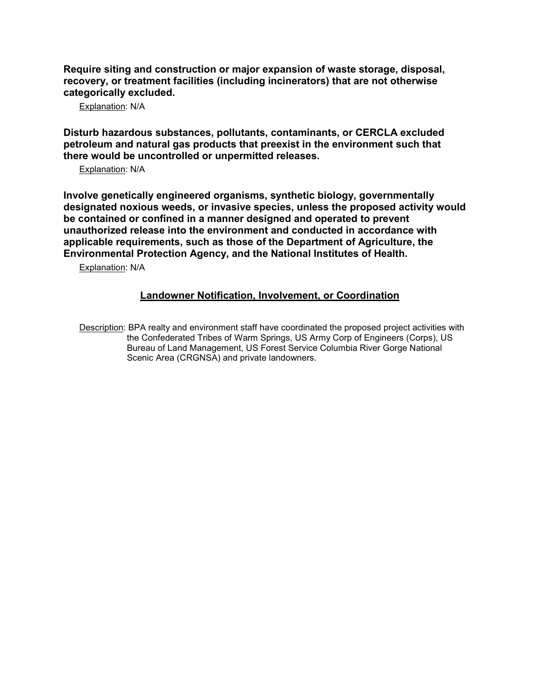**Require siting and construction or major expansion of waste storage, disposal, recovery, or treatment facilities (including incinerators) that are not otherwise categorically excluded.**

Explanation: N/A

**Disturb hazardous substances, pollutants, contaminants, or CERCLA excluded petroleum and natural gas products that preexist in the environment such that there would be uncontrolled or unpermitted releases.**

Explanation: N/A

**Involve genetically engineered organisms, synthetic biology, governmentally designated noxious weeds, or invasive species, unless the proposed activity would be contained or confined in a manner designed and operated to prevent unauthorized release into the environment and conducted in accordance with applicable requirements, such as those of the Department of Agriculture, the Environmental Protection Agency, and the National Institutes of Health.**

Explanation: N/A

## **Landowner Notification, Involvement, or Coordination**

Description: BPA realty and environment staff have coordinated the proposed project activities with the Confederated Tribes of Warm Springs, US Army Corp of Engineers (Corps), US Bureau of Land Management, US Forest Service Columbia River Gorge National Scenic Area (CRGNSA) and private landowners.